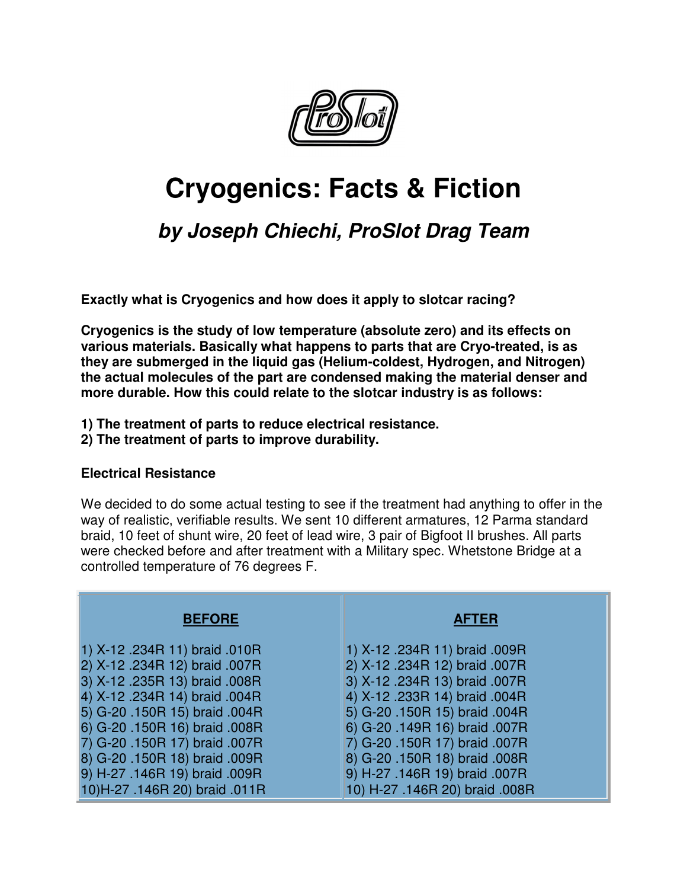

# **Cryogenics: Facts & Fiction**

## **by Joseph Chiechi, ProSlot Drag Team**

**Exactly what is Cryogenics and how does it apply to slotcar racing?**

**Cryogenics is the study of low temperature (absolute zero) and its effects on various materials. Basically what happens to parts that are Cryo-treated, is as they are submerged in the liquid gas (Helium-coldest, Hydrogen, and Nitrogen) the actual molecules of the part are condensed making the material denser and more durable. How this could relate to the slotcar industry is as follows:**

- **1) The treatment of parts to reduce electrical resistance.**
- **2) The treatment of parts to improve durability.**

### **Electrical Resistance**

We decided to do some actual testing to see if the treatment had anything to offer in the way of realistic, verifiable results. We sent 10 different armatures, 12 Parma standard braid, 10 feet of shunt wire, 20 feet of lead wire, 3 pair of Bigfoot II brushes. All parts were checked before and after treatment with a Military spec. Whetstone Bridge at a controlled temperature of 76 degrees F.

| <b>BEFORE</b>                 | <b>AFTER</b>                   |
|-------------------------------|--------------------------------|
| 1) X-12 .234R 11) braid .010R | 1) X-12 .234R 11) braid .009R  |
| 2) X-12 .234R 12) braid .007R | 2) X-12 .234R 12) braid .007R  |
| 3) X-12 .235R 13) braid .008R | 3) X-12 .234R 13) braid .007R  |
| 4) X-12 .234R 14) braid .004R | 4) X-12 .233R 14) braid .004R  |
| 5) G-20 .150R 15) braid .004R | 5) G-20 .150R 15) braid .004R  |
| 6) G-20 .150R 16) braid .008R | 6) G-20 .149R 16) braid .007R  |
| 7) G-20 .150R 17) braid .007R | 7) G-20 .150R 17) braid .007R  |
| 8) G-20 .150R 18) braid .009R | 8) G-20 .150R 18) braid .008R  |
| 9) H-27 .146R 19) braid .009R | 9) H-27 .146R 19) braid .007R  |
| 10)H-27 .146R 20) braid .011R | 10) H-27 .146R 20) braid .008R |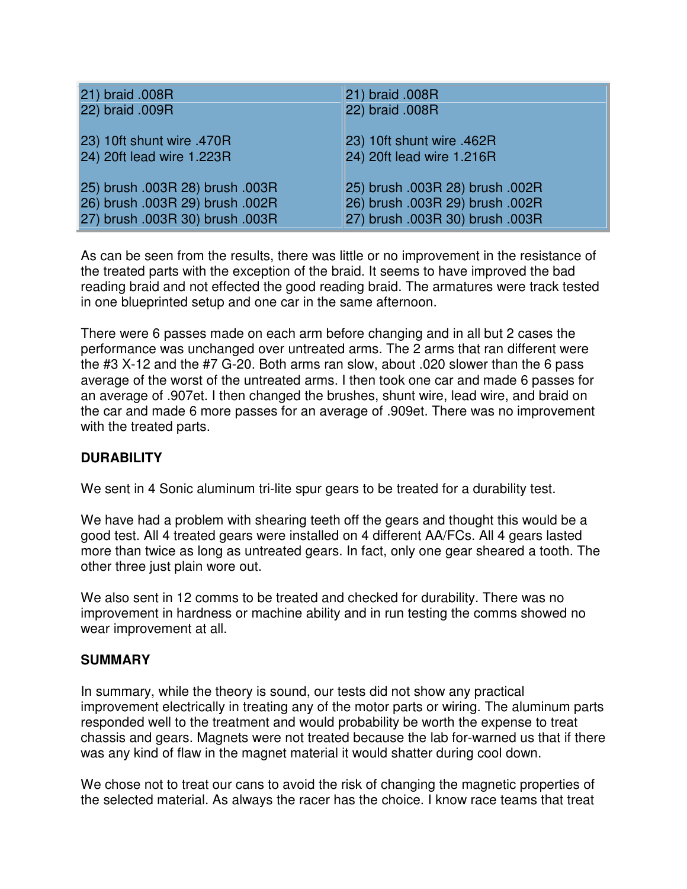| 21) braid .008R                 | 21) braid .008R                 |
|---------------------------------|---------------------------------|
| 22) braid .009R                 | 22) braid .008R                 |
| 23) 10ft shunt wire .470R       | 23) 10ft shunt wire .462R       |
| 24) 20ft lead wire 1.223R       | 24) 20ft lead wire 1.216R       |
| 25) brush .003R 28) brush .003R | 25) brush .003R 28) brush .002R |
| 26) brush .003R 29) brush .002R | 26) brush .003R 29) brush .002R |
| 27) brush .003R 30) brush .003R | 27) brush .003R 30) brush .003R |

As can be seen from the results, there was little or no improvement in the resistance of the treated parts with the exception of the braid. It seems to have improved the bad reading braid and not effected the good reading braid. The armatures were track tested in one blueprinted setup and one car in the same afternoon.

There were 6 passes made on each arm before changing and in all but 2 cases the performance was unchanged over untreated arms. The 2 arms that ran different were the #3 X-12 and the #7 G-20. Both arms ran slow, about .020 slower than the 6 pass average of the worst of the untreated arms. I then took one car and made 6 passes for an average of .907et. I then changed the brushes, shunt wire, lead wire, and braid on the car and made 6 more passes for an average of .909et. There was no improvement with the treated parts.

### **DURABILITY**

We sent in 4 Sonic aluminum tri-lite spur gears to be treated for a durability test.

We have had a problem with shearing teeth off the gears and thought this would be a good test. All 4 treated gears were installed on 4 different AA/FCs. All 4 gears lasted more than twice as long as untreated gears. In fact, only one gear sheared a tooth. The other three just plain wore out.

We also sent in 12 comms to be treated and checked for durability. There was no improvement in hardness or machine ability and in run testing the comms showed no wear improvement at all.

### **SUMMARY**

In summary, while the theory is sound, our tests did not show any practical improvement electrically in treating any of the motor parts or wiring. The aluminum parts responded well to the treatment and would probability be worth the expense to treat chassis and gears. Magnets were not treated because the lab for-warned us that if there was any kind of flaw in the magnet material it would shatter during cool down.

We chose not to treat our cans to avoid the risk of changing the magnetic properties of the selected material. As always the racer has the choice. I know race teams that treat